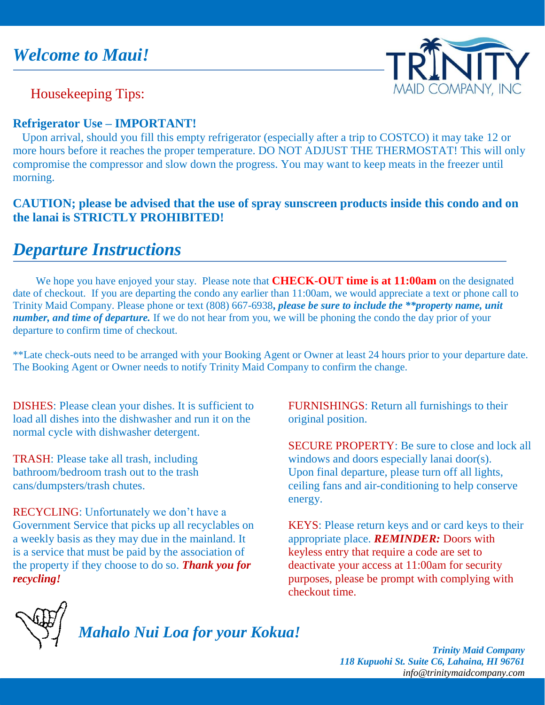

Housekeeping Tips:

### **Refrigerator Use – IMPORTANT!**

 Upon arrival, should you fill this empty refrigerator (especially after a trip to COSTCO) it may take 12 or more hours before it reaches the proper temperature. DO NOT ADJUST THE THERMOSTAT! This will only compromise the compressor and slow down the progress. You may want to keep meats in the freezer until morning.

### **CAUTION; please be advised that the use of spray sunscreen products inside this condo and on the lanai is STRICTLY PROHIBITED!**

# *Departure Instructions*

 We hope you have enjoyed your stay. Please note that **CHECK-OUT time is at 11:00am** on the designated date of checkout. If you are departing the condo any earlier than 11:00am, we would appreciate a text or phone call to Trinity Maid Company. Please phone or text (808) 667-6938**,** *please be sure to include the \*\*property name, unit number, and time of departure.* If we do not hear from you, we will be phoning the condo the day prior of your departure to confirm time of checkout.

\*\*Late check-outs need to be arranged with your Booking Agent or Owner at least 24 hours prior to your departure date. The Booking Agent or Owner needs to notify Trinity Maid Company to confirm the change.

DISHES: Please clean your dishes. It is sufficient to load all dishes into the dishwasher and run it on the normal cycle with dishwasher detergent.

TRASH: Please take all trash, including bathroom/bedroom trash out to the trash cans/dumpsters/trash chutes.

RECYCLING: Unfortunately we don't have a Government Service that picks up all recyclables on a weekly basis as they may due in the mainland. It is a service that must be paid by the association of the property if they choose to do so. *Thank you for recycling!*

FURNISHINGS: Return all furnishings to their original position.

SECURE PROPERTY: Be sure to close and lock all windows and doors especially lanai door(s). Upon final departure, please turn off all lights, ceiling fans and air-conditioning to help conserve energy.

KEYS: Please return keys and or card keys to their appropriate place. *REMINDER:* Doors with keyless entry that require a code are set to deactivate your access at 11:00am for security purposes, please be prompt with complying with checkout time.



*Mahalo Nui Loa for your Kokua!*

*Trinity Maid Company 118 Kupuohi St. Suite C6, Lahaina, HI 96761 [info@trinitymaidcompany.com](mailto:info@trinitymaidcompany.com)*